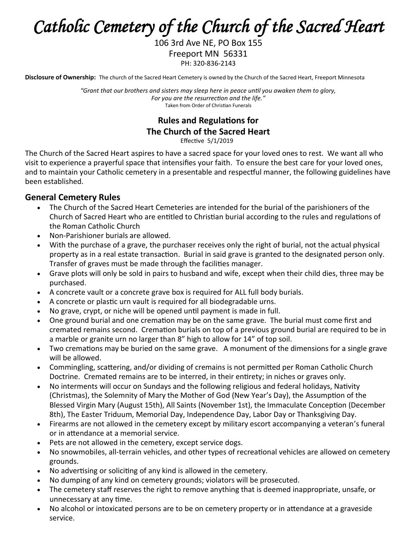# *Catholic Cemetery of the Church of the Sacred Heart*

106 3rd Ave NE, PO Box 155 Freeport MN 56331 PH: 320-836-2143

**Disclosure of Ownership:** The church of the Sacred Heart Cemetery is owned by the Church of the Sacred Heart, Freeport Minnesota

*"Grant that our brothers and sisters may sleep here in peace until you awaken them to glory, For you are the resurrection and the life."* Taken from Order of Christian Funerals

# **Rules and Regulations for The Church of the Sacred Heart**

Effective 5/1/2019

The Church of the Sacred Heart aspires to have a sacred space for your loved ones to rest. We want all who visit to experience a prayerful space that intensifies your faith. To ensure the best care for your loved ones, and to maintain your Catholic cemetery in a presentable and respectful manner, the following guidelines have been established.

#### **General Cemetery Rules**

- The Church of the Sacred Heart Cemeteries are intended for the burial of the parishioners of the Church of Sacred Heart who are entitled to Christian burial according to the rules and regulations of the Roman Catholic Church
- Non-Parishioner burials are allowed.
- With the purchase of a grave, the purchaser receives only the right of burial, not the actual physical property as in a real estate transaction. Burial in said grave is granted to the designated person only. Transfer of graves must be made through the facilities manager.
- Grave plots will only be sold in pairs to husband and wife, except when their child dies, three may be purchased.
- A concrete vault or a concrete grave box is required for ALL full body burials.
- A concrete or plastic urn vault is required for all biodegradable urns.
- No grave, crypt, or niche will be opened until payment is made in full.
- One ground burial and one cremation may be on the same grave. The burial must come first and cremated remains second. Cremation burials on top of a previous ground burial are required to be in a marble or granite urn no larger than 8" high to allow for 14" of top soil.
- Two cremations may be buried on the same grave. A monument of the dimensions for a single grave will be allowed.
- Commingling, scattering, and/or dividing of cremains is not permitted per Roman Catholic Church Doctrine. Cremated remains are to be interred, in their entirety; in niches or graves only.
- No interments will occur on Sundays and the following religious and federal holidays, Nativity (Christmas), the Solemnity of Mary the Mother of God (New Year's Day), the Assumption of the Blessed Virgin Mary (August 15th), All Saints (November 1st), the Immaculate Conception (December 8th), The Easter Triduum, Memorial Day, Independence Day, Labor Day or Thanksgiving Day.
- Firearms are not allowed in the cemetery except by military escort accompanying a veteran's funeral or in attendance at a memorial service.
- Pets are not allowed in the cemetery, except service dogs.
- No snowmobiles, all-terrain vehicles, and other types of recreational vehicles are allowed on cemetery grounds.
- No advertising or soliciting of any kind is allowed in the cemetery.
- No dumping of any kind on cemetery grounds; violators will be prosecuted.
- The cemetery staff reserves the right to remove anything that is deemed inappropriate, unsafe, or unnecessary at any time.
- No alcohol or intoxicated persons are to be on cemetery property or in attendance at a graveside service.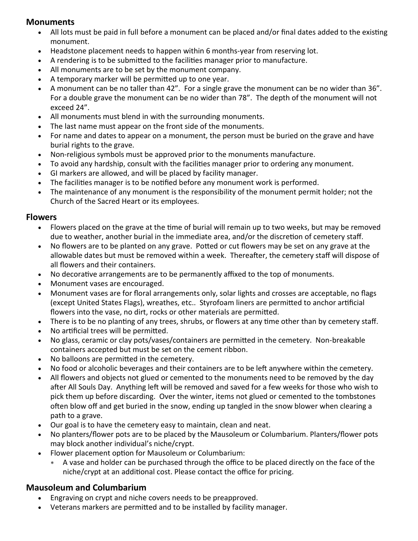#### **Monuments**

- All lots must be paid in full before a monument can be placed and/or final dates added to the existing monument.
- Headstone placement needs to happen within 6 months-year from reserving lot.
- A rendering is to be submitted to the facilities manager prior to manufacture.
- All monuments are to be set by the monument company.
- A temporary marker will be permitted up to one year.
- A monument can be no taller than 42". For a single grave the monument can be no wider than 36". For a double grave the monument can be no wider than 78". The depth of the monument will not exceed 24".
- All monuments must blend in with the surrounding monuments.
- The last name must appear on the front side of the monuments.
- For name and dates to appear on a monument, the person must be buried on the grave and have burial rights to the grave.
- Non-religious symbols must be approved prior to the monuments manufacture.
- To avoid any hardship, consult with the facilities manager prior to ordering any monument.
- GI markers are allowed, and will be placed by facility manager.
- The facilities manager is to be notified before any monument work is performed.
- The maintenance of any monument is the responsibility of the monument permit holder; not the Church of the Sacred Heart or its employees.

### **Flowers**

- Flowers placed on the grave at the time of burial will remain up to two weeks, but may be removed due to weather, another burial in the immediate area, and/or the discretion of cemetery staff.
- No flowers are to be planted on any grave. Potted or cut flowers may be set on any grave at the allowable dates but must be removed within a week. Thereafter, the cemetery staff will dispose of all flowers and their containers.
- No decorative arrangements are to be permanently affixed to the top of monuments.
- Monument vases are encouraged.
- Monument vases are for floral arrangements only, solar lights and crosses are acceptable, no flags (except United States Flags), wreathes, etc.. Styrofoam liners are permitted to anchor artificial flowers into the vase, no dirt, rocks or other materials are permitted.
- There is to be no planting of any trees, shrubs, or flowers at any time other than by cemetery staff.
- No artificial trees will be permitted.
- No glass, ceramic or clay pots/vases/containers are permitted in the cemetery. Non-breakable containers accepted but must be set on the cement ribbon.
- No balloons are permitted in the cemetery.
- No food or alcoholic beverages and their containers are to be left anywhere within the cemetery.
- All flowers and objects not glued or cemented to the monuments need to be removed by the day after All Souls Day. Anything left will be removed and saved for a few weeks for those who wish to pick them up before discarding. Over the winter, items not glued or cemented to the tombstones often blow off and get buried in the snow, ending up tangled in the snow blower when clearing a path to a grave.
- Our goal is to have the cemetery easy to maintain, clean and neat.
- No planters/flower pots are to be placed by the Mausoleum or Columbarium. Planters/flower pots may block another individual's niche/crypt.
- Flower placement option for Mausoleum or Columbarium:
	- A vase and holder can be purchased through the office to be placed directly on the face of the niche/crypt at an additional cost. Please contact the office for pricing.

# **Mausoleum and Columbarium**

- Engraving on crypt and niche covers needs to be preapproved.
- Veterans markers are permitted and to be installed by facility manager.